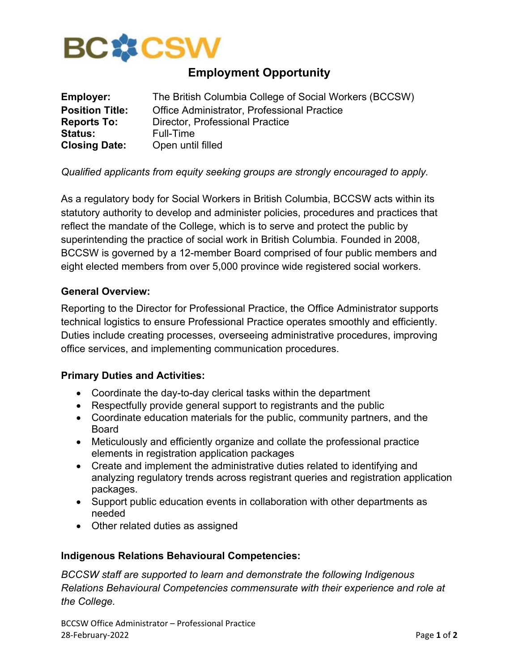

# **Employment Opportunity**

| <b>Employer:</b>       | The British Columbia College of Social Workers (BCCSW) |
|------------------------|--------------------------------------------------------|
| <b>Position Title:</b> | Office Administrator, Professional Practice            |
| <b>Reports To:</b>     | Director, Professional Practice                        |
| <b>Status:</b>         | Full-Time                                              |
| <b>Closing Date:</b>   | Open until filled                                      |

# *Qualified applicants from equity seeking groups are strongly encouraged to apply.*

As a regulatory body for Social Workers in British Columbia, BCCSW acts within its statutory authority to develop and administer policies, procedures and practices that reflect the mandate of the College, which is to serve and protect the public by superintending the practice of social work in British Columbia. Founded in 2008, BCCSW is governed by a 12-member Board comprised of four public members and eight elected members from over 5,000 province wide registered social workers.

#### **General Overview:**

Reporting to the Director for Professional Practice, the Office Administrator supports technical logistics to ensure Professional Practice operates smoothly and efficiently. Duties include creating processes, overseeing administrative procedures, improving office services, and implementing communication procedures.

#### **Primary Duties and Activities:**

- Coordinate the day-to-day clerical tasks within the department
- Respectfully provide general support to registrants and the public
- Coordinate education materials for the public, community partners, and the Board
- Meticulously and efficiently organize and collate the professional practice elements in registration application packages
- Create and implement the administrative duties related to identifying and analyzing regulatory trends across registrant queries and registration application packages.
- Support public education events in collaboration with other departments as needed
- Other related duties as assigned

#### **Indigenous Relations Behavioural Competencies:**

*BCCSW staff are supported to learn and demonstrate the following Indigenous Relations Behavioural Competencies commensurate with their experience and role at the College.*